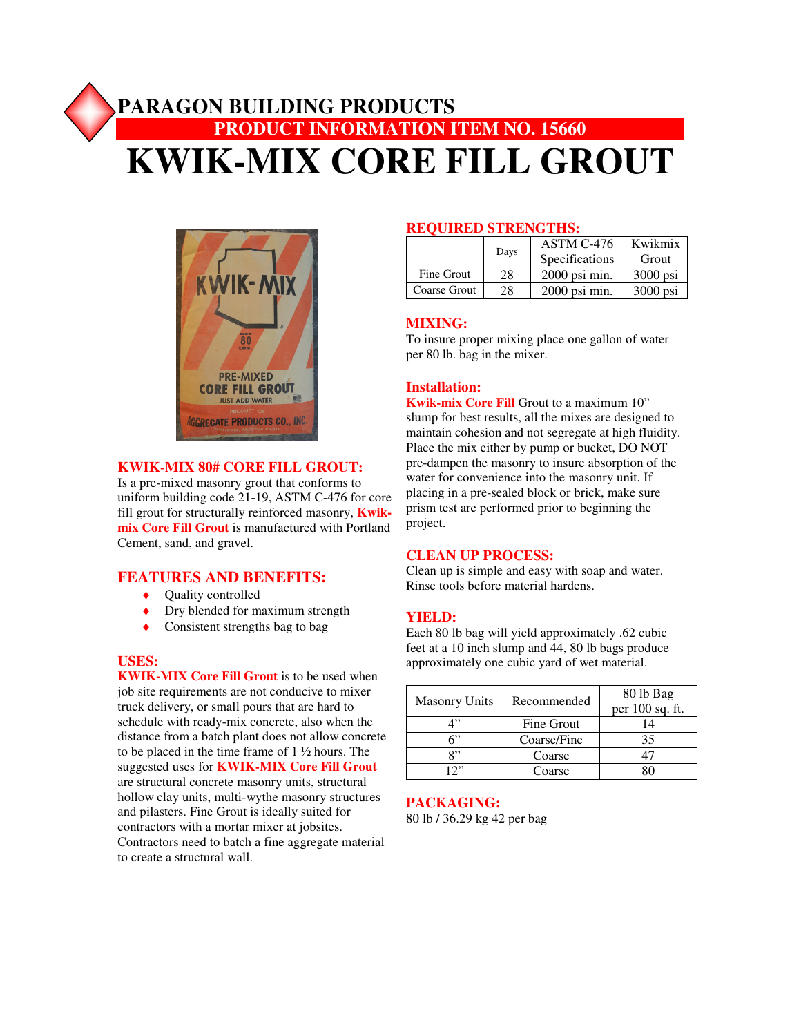# **PARAGON BUILDING PRODUCTS PRODUCT INFORMATION ITEM NO. 15660 KWIK-MIX CORE FILL GROUT**



#### **KWIK-MIX 80# CORE FILL GROUT:**

Is a pre-mixed masonry grout that conforms to uniform building code 21-19, ASTM C-476 for core fill grout for structurally reinforced masonry, **Kwikmix Core Fill Grout** is manufactured with Portland Cement, sand, and gravel.

## **FEATURES AND BENEFITS:**

- ♦ Quality controlled
- Dry blended for maximum strength
- $\bullet$  Consistent strengths bag to bag

#### **USES:**

**KWIK-MIX Core Fill Grout** is to be used when job site requirements are not conducive to mixer truck delivery, or small pours that are hard to schedule with ready-mix concrete, also when the distance from a batch plant does not allow concrete to be placed in the time frame of 1 ½ hours. The suggested uses for **KWIK-MIX Core Fill Grout** are structural concrete masonry units, structural hollow clay units, multi-wythe masonry structures and pilasters. Fine Grout is ideally suited for contractors with a mortar mixer at jobsites. Contractors need to batch a fine aggregate material to create a structural wall.

#### **REQUIRED STRENGTHS:**

|              | Days | ASTM C-476<br>Specifications | Kwikmix<br>Grout |
|--------------|------|------------------------------|------------------|
| Fine Grout   | 28   | $2000$ psi min.              | $3000$ psi       |
| Coarse Grout | 28   | $2000$ psi min.              | $3000$ psi       |

## **MIXING:**

To insure proper mixing place one gallon of water per 80 lb. bag in the mixer.

## **Installation:**

**Kwik-mix Core Fill** Grout to a maximum 10" slump for best results, all the mixes are designed to maintain cohesion and not segregate at high fluidity. Place the mix either by pump or bucket, DO NOT pre-dampen the masonry to insure absorption of the water for convenience into the masonry unit. If placing in a pre-sealed block or brick, make sure prism test are performed prior to beginning the project.

#### **CLEAN UP PROCESS:**

Clean up is simple and easy with soap and water. Rinse tools before material hardens.

#### **YIELD:**

Each 80 lb bag will yield approximately .62 cubic feet at a 10 inch slump and 44, 80 lb bags produce approximately one cubic yard of wet material.

| <b>Masonry Units</b> | Recommended | 80 lb Bag<br>per 100 sq. ft. |
|----------------------|-------------|------------------------------|
|                      | Fine Grout  |                              |
| در)                  | Coarse/Fine | 35                           |
| Q"                   | Coarse      |                              |
|                      | Coarse      |                              |

## **PACKAGING:**

80 lb / 36.29 kg 42 per bag